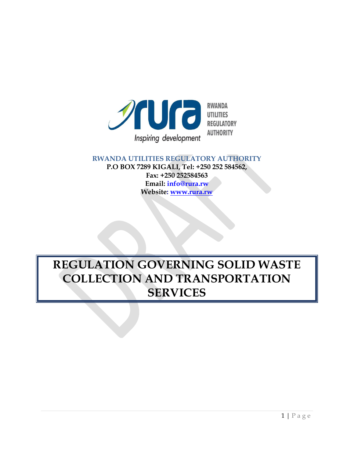

#### **RWANDA UTILITIES REGULATORY AUTHORITY P.O BOX 7289 KIGALI, Tel: +250 252 584562, Fax: +250 252584563 Email: info@rura.rw Website: [www.rura.rw](http://www.rura.rw/)**

# **REGULATION GOVERNING SOLID WASTE COLLECTION AND TRANSPORTATION SERVICES**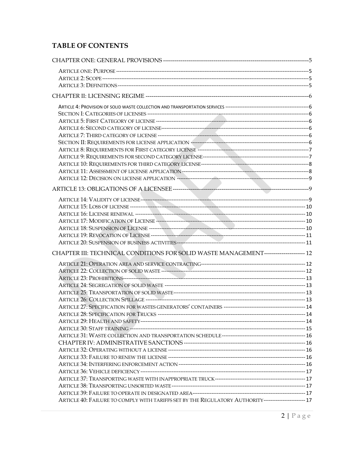# **TABLE OF CONTENTS**

| CHAPTER III: TECHNICAL CONDITIONS FOR SOLID WASTE MANAGEMENT--------------------- 12                  |  |
|-------------------------------------------------------------------------------------------------------|--|
|                                                                                                       |  |
|                                                                                                       |  |
|                                                                                                       |  |
|                                                                                                       |  |
|                                                                                                       |  |
|                                                                                                       |  |
|                                                                                                       |  |
|                                                                                                       |  |
|                                                                                                       |  |
|                                                                                                       |  |
|                                                                                                       |  |
|                                                                                                       |  |
|                                                                                                       |  |
|                                                                                                       |  |
|                                                                                                       |  |
|                                                                                                       |  |
|                                                                                                       |  |
|                                                                                                       |  |
| ARTICLE 40: FAILURE TO COMPLY WITH TARIFFS SET BY THE REGULATORY AUTHORITY------------------------ 17 |  |
|                                                                                                       |  |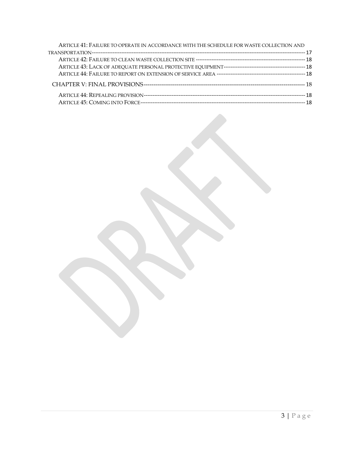| ARTICLE 41: FAILURE TO OPERATE IN ACCORDANCE WITH THE SCHEDULE FOR WASTE COLLECTION AND |  |
|-----------------------------------------------------------------------------------------|--|
|                                                                                         |  |
|                                                                                         |  |
|                                                                                         |  |
|                                                                                         |  |
|                                                                                         |  |
|                                                                                         |  |
|                                                                                         |  |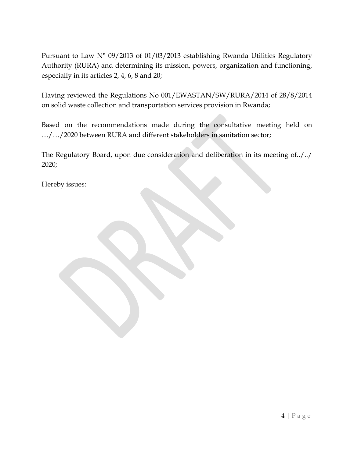Pursuant to Law N° 09/2013 of 01/03/2013 establishing Rwanda Utilities Regulatory Authority (RURA) and determining its mission, powers, organization and functioning, especially in its articles 2, 4, 6, 8 and 20;

Having reviewed the Regulations No 001/EWASTAN/SW/RURA/2014 of 28/8/2014 on solid waste collection and transportation services provision in Rwanda;

Based on the recommendations made during the consultative meeting held on …/…/2020 between RURA and different stakeholders in sanitation sector;

The Regulatory Board, upon due consideration and deliberation in its meeting of../../ 2020;

Hereby issues: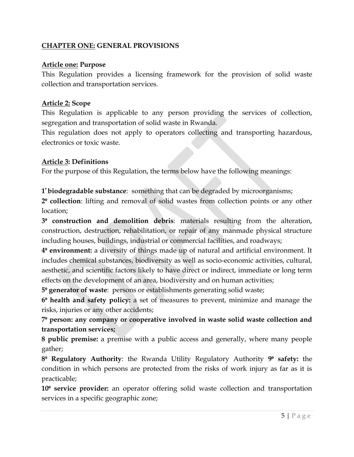# <span id="page-4-1"></span><span id="page-4-0"></span>**CHAPTER ONE: GENERAL PROVISIONS**

#### **Article one: Purpose**

This Regulation provides a licensing framework for the provision of solid waste collection and transportation services.

#### <span id="page-4-2"></span>**Article 2: Scope**

This Regulation is applicable to any person providing the services of collection, segregation and transportation of solid waste in Rwanda.

This regulation does not apply to operators collecting and transporting hazardous, electronics or toxic waste.

# <span id="page-4-3"></span>**Article 3: Definitions**

For the purpose of this Regulation, the terms below have the following meanings:

**1 <sup>⁰</sup> biodegradable substance**: something that can be degraded by microorganisms;

**2⁰ collection**: lifting and removal of solid wastes from collection points or any other location;

**3⁰ construction and demolition debris**: materials resulting from the alteration, construction, destruction, rehabilitation, or repair of any manmade physical structure including houses, buildings, industrial or commercial facilities, and roadways;

**4⁰ environment:** a diversity of things made up of natural and artificial environment. It includes chemical substances, biodiversity as well as socio-economic activities, cultural, aesthetic, and scientific factors likely to have direct or indirect, immediate or long term effects on the development of an area, biodiversity and on human activities;

**5⁰ generator of waste**: persons or establishments generating solid waste;

**6⁰ health and safety policy:** a set of measures to prevent, minimize and manage the risks, injuries or any other accidents;

**7⁰ person: any company or cooperative involved in waste solid waste collection and transportation services;**

**8 public premise:** a premise with a public access and generally, where many people gather;

**8⁰ Regulatory Authority**: the Rwanda Utility Regulatory Authority **9⁰ safety:** the condition in which persons are protected from the risks of work injury as far as it is practicable;

**10<sup>°</sup> service provider:** an operator offering solid waste collection and transportation services in a specific geographic zone;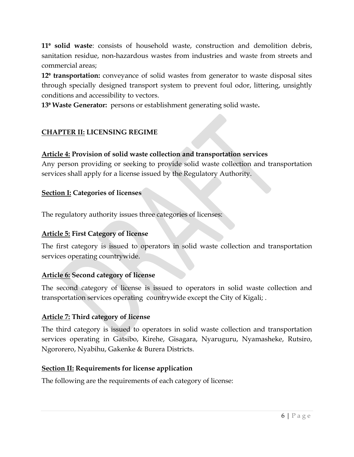**11<sup>°</sup> solid waste**: consists of household waste, construction and demolition debris, sanitation residue, non-hazardous wastes from industries and waste from streets and commercial areas;

**12<sup>°</sup> transportation:** conveyance of solid wastes from generator to waste disposal sites through specially designed transport system to prevent foul odor, littering, unsightly conditions and accessibility to vectors.

<span id="page-5-0"></span>**13⁰ Waste Generator:** persons or establishment generating solid waste**.**

# **CHAPTER II: LICENSING REGIME**

# <span id="page-5-1"></span>**Article 4: Provision of solid waste collection and transportation services**

Any person providing or seeking to provide solid waste collection and transportation services shall apply for a license issued by the Regulatory Authority.

# <span id="page-5-2"></span>**Section I: Categories of licenses**

The regulatory authority issues three categories of licenses:

# <span id="page-5-3"></span>**Article 5: First Category of license**

The first category is issued to operators in solid waste collection and transportation services operating countrywide.

# <span id="page-5-4"></span>**Article 6: Second category of license**

The second category of license is issued to operators in solid waste collection and transportation services operating countrywide except the City of Kigali; .

# <span id="page-5-5"></span>**Article 7: Third category of license**

The third category is issued to operators in solid waste collection and transportation services operating in Gatsibo, Kirehe, Gisagara, Nyaruguru, Nyamasheke, Rutsiro, Ngororero, Nyabihu, Gakenke & Burera Districts.

# <span id="page-5-6"></span>**Section II: Requirements for license application**

The following are the requirements of each category of license: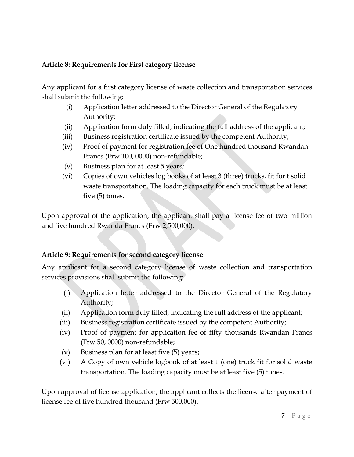# <span id="page-6-0"></span>**Article 8: Requirements for First category license**

Any applicant for a first category license of waste collection and transportation services shall submit the following:

- (i) Application letter addressed to the Director General of the Regulatory Authority;
- (ii) Application form duly filled, indicating the full address of the applicant;
- (iii) Business registration certificate issued by the competent Authority;
- (iv) Proof of payment for registration fee of One hundred thousand Rwandan Francs (Frw 100, 0000) non-refundable;
- (v) Business plan for at least 5 years;
- (vi) Copies of own vehicles log books of at least 3 (three) trucks, fit for t solid waste transportation. The loading capacity for each truck must be at least five (5) tones.

Upon approval of the application, the applicant shall pay a license fee of two million and five hundred Rwanda Francs (Frw 2,500,000).

# <span id="page-6-1"></span>**Article 9: Requirements for second category license**

Any applicant for a second category license of waste collection and transportation services provisions shall submit the following:

- (i) Application letter addressed to the Director General of the Regulatory Authority;
- (ii) Application form duly filled, indicating the full address of the applicant;
- (iii) Business registration certificate issued by the competent Authority;
- (iv) Proof of payment for application fee of fifty thousands Rwandan Francs (Frw 50, 0000) non-refundable;
- (v) Business plan for at least five (5) years;
- (vi) A Copy of own vehicle logbook of at least 1 (one) truck fit for solid waste transportation. The loading capacity must be at least five (5) tones.

Upon approval of license application, the applicant collects the license after payment of license fee of five hundred thousand (Frw 500,000).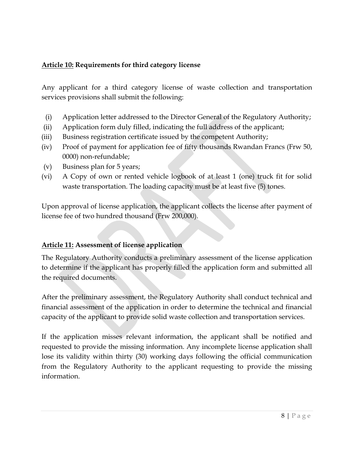# <span id="page-7-0"></span>**Article 10: Requirements for third category license**

Any applicant for a third category license of waste collection and transportation services provisions shall submit the following:

- (i) Application letter addressed to the Director General of the Regulatory Authority;
- (ii) Application form duly filled, indicating the full address of the applicant;
- (iii) Business registration certificate issued by the competent Authority;
- (iv) Proof of payment for application fee of fifty thousands Rwandan Francs (Frw 50, 0000) non-refundable;
- (v) Business plan for 5 years;
- (vi) A Copy of own or rented vehicle logbook of at least 1 (one) truck fit for solid waste transportation. The loading capacity must be at least five (5) tones.

Upon approval of license application, the applicant collects the license after payment of license fee of two hundred thousand (Frw 200,000).

# <span id="page-7-1"></span>**Article 11: Assessment of license application**

The Regulatory Authority conducts a preliminary assessment of the license application to determine if the applicant has properly filled the application form and submitted all the required documents.

After the preliminary assessment, the Regulatory Authority shall conduct technical and financial assessment of the application in order to determine the technical and financial capacity of the applicant to provide solid waste collection and transportation services.

If the application misses relevant information, the applicant shall be notified and requested to provide the missing information. Any incomplete license application shall lose its validity within thirty (30) working days following the official communication from the Regulatory Authority to the applicant requesting to provide the missing information.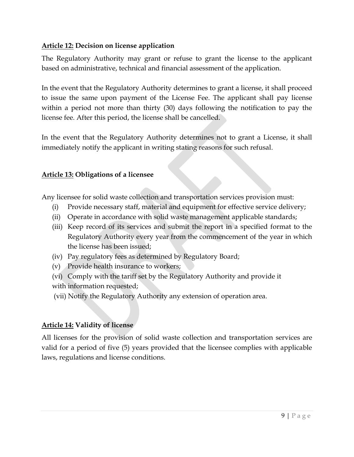# <span id="page-8-0"></span>**Article 12: Decision on license application**

The Regulatory Authority may grant or refuse to grant the license to the applicant based on administrative, technical and financial assessment of the application.

In the event that the Regulatory Authority determines to grant a license, it shall proceed to issue the same upon payment of the License Fee. The applicant shall pay license within a period not more than thirty (30) days following the notification to pay the license fee. After this period, the license shall be cancelled.

In the event that the Regulatory Authority determines not to grant a License, it shall immediately notify the applicant in writing stating reasons for such refusal.

# <span id="page-8-1"></span>**Article 13: Obligations of a licensee**

Any licensee for solid waste collection and transportation services provision must:

- (i) Provide necessary staff, material and equipment for effective service delivery;
- (ii) Operate in accordance with solid waste management applicable standards;
- (iii) Keep record of its services and submit the report in a specified format to the Regulatory Authority every year from the commencement of the year in which the license has been issued;
- (iv) Pay regulatory fees as determined by Regulatory Board;
- (v) Provide health insurance to workers;
- (vi) Comply with the tariff set by the Regulatory Authority and provide it
- with information requested;
- (vii) Notify the Regulatory Authority any extension of operation area.

# <span id="page-8-2"></span>**Article 14: Validity of license**

<span id="page-8-3"></span>All licenses for the provision of solid waste collection and transportation services are valid for a period of five (5) years provided that the licensee complies with applicable laws, regulations and license conditions.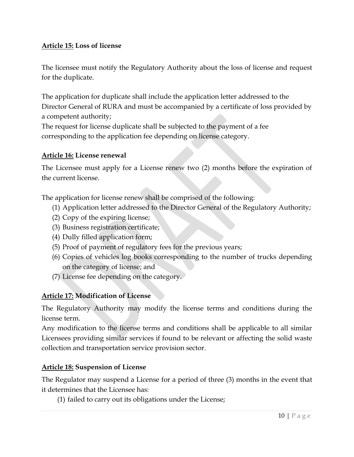# **Article 15: Loss of license**

The licensee must notify the Regulatory Authority about the loss of license and request for the duplicate.

The application for duplicate shall include the application letter addressed to the Director General of RURA and must be accompanied by a certificate of loss provided by a competent authority;

The request for license duplicate shall be subjected to the payment of a fee corresponding to the application fee depending on license category.

# <span id="page-9-0"></span>**Article 16: License renewal**

The Licensee must apply for a License renew two (2) months before the expiration of the current license.

The application for license renew shall be comprised of the following:

- (1) Application letter addressed to the Director General of the Regulatory Authority;
- (2) Copy of the expiring license;
- (3) Business registration certificate;
- (4) Dully filled application form;
- (5) Proof of payment of regulatory fees for the previous years;
- (6) Copies of vehicles log books corresponding to the number of trucks depending on the category of license; and
- (7) License fee depending on the category.

# <span id="page-9-1"></span>**Article 17: Modification of License**

The Regulatory Authority may modify the license terms and conditions during the license term.

Any modification to the license terms and conditions shall be applicable to all similar Licensees providing similar services if found to be relevant or affecting the solid waste collection and transportation service provision sector.

# <span id="page-9-2"></span>**Article 18: Suspension of License**

The Regulator may suspend a License for a period of three (3) months in the event that it determines that the Licensee has:

(1) failed to carry out its obligations under the License;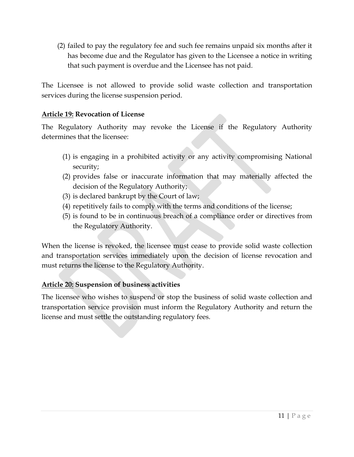(2) failed to pay the regulatory fee and such fee remains unpaid six months after it has become due and the Regulator has given to the Licensee a notice in writing that such payment is overdue and the Licensee has not paid.

The Licensee is not allowed to provide solid waste collection and transportation services during the license suspension period.

# <span id="page-10-0"></span>**Article 19: Revocation of License**

The Regulatory Authority may revoke the License if the Regulatory Authority determines that the licensee:

- (1) is engaging in a prohibited activity or any activity compromising National security;
- (2) provides false or inaccurate information that may materially affected the decision of the Regulatory Authority;
- (3) is declared bankrupt by the Court of law;
- (4) repetitively fails to comply with the terms and conditions of the license;
- (5) is found to be in continuous breach of a compliance order or directives from the Regulatory Authority.

When the license is revoked, the licensee must cease to provide solid waste collection and transportation services immediately upon the decision of license revocation and must returns the license to the Regulatory Authority.

# <span id="page-10-1"></span>**Article 20: Suspension of business activities**

The licensee who wishes to suspend or stop the business of solid waste collection and transportation service provision must inform the Regulatory Authority and return the license and must settle the outstanding regulatory fees.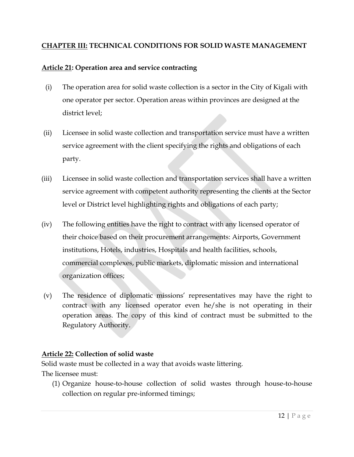# <span id="page-11-0"></span>**CHAPTER III: TECHNICAL CONDITIONS FOR SOLID WASTE MANAGEMENT**

# <span id="page-11-1"></span>**Article 21: Operation area and service contracting**

- (i) The operation area for solid waste collection is a sector in the City of Kigali with one operator per sector. Operation areas within provinces are designed at the district level;
- (ii) Licensee in solid waste collection and transportation service must have a written service agreement with the client specifying the rights and obligations of each party.
- (iii) Licensee in solid waste collection and transportation services shall have a written service agreement with competent authority representing the clients at the Sector level or District level highlighting rights and obligations of each party;
- (iv) The following entities have the right to contract with any licensed operator of their choice based on their procurement arrangements: Airports, Government institutions, Hotels, industries, Hospitals and health facilities, schools, commercial complexes, public markets, diplomatic mission and international organization offices;
- (v) The residence of diplomatic missions' representatives may have the right to contract with any licensed operator even he/she is not operating in their operation areas. The copy of this kind of contract must be submitted to the Regulatory Authority.

# <span id="page-11-2"></span>**Article 22: Collection of solid waste**

Solid waste must be collected in a way that avoids waste littering. The licensee must:

(1) Organize house-to-house collection of solid wastes through house-to-house collection on regular pre-informed timings;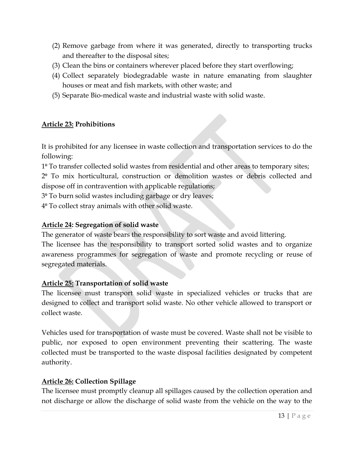- (2) Remove garbage from where it was generated, directly to transporting trucks and thereafter to the disposal sites;
- (3) Clean the bins or containers wherever placed before they start overflowing;
- (4) Collect separately biodegradable waste in nature emanating from slaughter houses or meat and fish markets, with other waste; and
- (5) Separate Bio-medical waste and industrial waste with solid waste.

# <span id="page-12-0"></span>**Article 23: Prohibitions**

It is prohibited for any licensee in waste collection and transportation services to do the following:

1⁰ To transfer collected solid wastes from residential and other areas to temporary sites;

2⁰ To mix horticultural, construction or demolition wastes or debris collected and dispose off in contravention with applicable regulations;

3⁰ To burn solid wastes including garbage or dry leaves;

4⁰ To collect stray animals with other solid waste.

# <span id="page-12-1"></span>**Article 24: Segregation of solid waste**

The generator of waste bears the responsibility to sort waste and avoid littering.

The licensee has the responsibility to transport sorted solid wastes and to organize awareness programmes for segregation of waste and promote recycling or reuse of segregated materials.

# <span id="page-12-2"></span>**Article 25: Transportation of solid waste**

The licensee must transport solid waste in specialized vehicles or trucks that are designed to collect and transport solid waste. No other vehicle allowed to transport or collect waste.

Vehicles used for transportation of waste must be covered. Waste shall not be visible to public, nor exposed to open environment preventing their scattering. The waste collected must be transported to the waste disposal facilities designated by competent authority.

# <span id="page-12-3"></span>**Article 26: Collection Spillage**

The licensee must promptly cleanup all spillages caused by the collection operation and not discharge or allow the discharge of solid waste from the vehicle on the way to the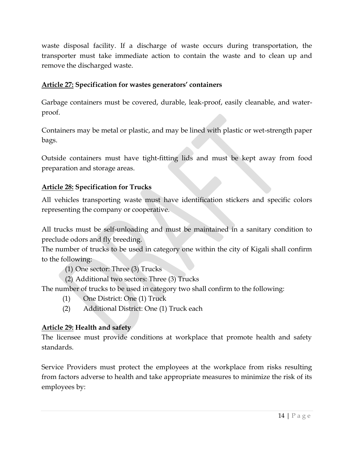waste disposal facility. If a discharge of waste occurs during transportation, the transporter must take immediate action to contain the waste and to clean up and remove the discharged waste.

# <span id="page-13-0"></span>**Article 27: Specification for wastes generators' containers**

Garbage containers must be covered, durable, leak-proof, easily cleanable, and waterproof.

Containers may be metal or plastic, and may be lined with plastic or wet-strength paper bags.

Outside containers must have tight-fitting lids and must be kept away from food preparation and storage areas.

# <span id="page-13-1"></span>**Article 28: Specification for Trucks**

All vehicles transporting waste must have identification stickers and specific colors representing the company or cooperative.

All trucks must be self-unloading and must be maintained in a sanitary condition to preclude odors and fly breeding.

The number of trucks to be used in category one within the city of Kigali shall confirm to the following:

- (1) One sector: Three (3) Trucks
- (2) Additional two sectors: Three (3) Trucks

The number of trucks to be used in category two shall confirm to the following:

- (1) One District: One (1) Truck
- (2) Additional District: One (1) Truck each

# <span id="page-13-2"></span>**Article 29: Health and safety**

The licensee must provide conditions at workplace that promote health and safety standards.

Service Providers must protect the employees at the workplace from risks resulting from factors adverse to health and take appropriate measures to minimize the risk of its employees by: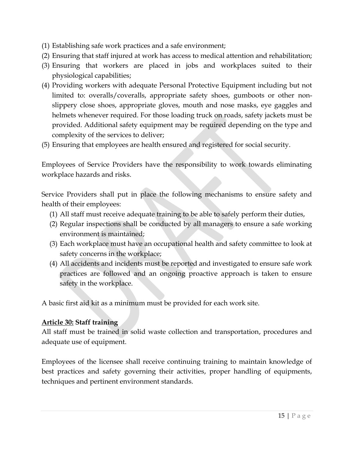- (1) Establishing safe work practices and a safe environment;
- (2) Ensuring that staff injured at work has access to medical attention and rehabilitation;
- (3) Ensuring that workers are placed in jobs and workplaces suited to their physiological capabilities;
- (4) Providing workers with adequate Personal Protective Equipment including but not limited to: overalls/coveralls, appropriate safety shoes, gumboots or other nonslippery close shoes, appropriate gloves, mouth and nose masks, eye gaggles and helmets whenever required. For those loading truck on roads, safety jackets must be provided. Additional safety equipment may be required depending on the type and complexity of the services to deliver;
- (5) Ensuring that employees are health ensured and registered for social security.

Employees of Service Providers have the responsibility to work towards eliminating workplace hazards and risks.

Service Providers shall put in place the following mechanisms to ensure safety and health of their employees:

- (1) All staff must receive adequate training to be able to safely perform their duties,
- (2) Regular inspections shall be conducted by all managers to ensure a safe working environment is maintained;
- (3) Each workplace must have an occupational health and safety committee to look at safety concerns in the workplace;
- (4) All accidents and incidents must be reported and investigated to ensure safe work practices are followed and an ongoing proactive approach is taken to ensure safety in the workplace.

A basic first aid kit as a minimum must be provided for each work site.

# <span id="page-14-0"></span>**Article 30: Staff training**

All staff must be trained in solid waste collection and transportation, procedures and adequate use of equipment.

Employees of the licensee shall receive continuing training to maintain knowledge of best practices and safety governing their activities, proper handling of equipments, techniques and pertinent environment standards.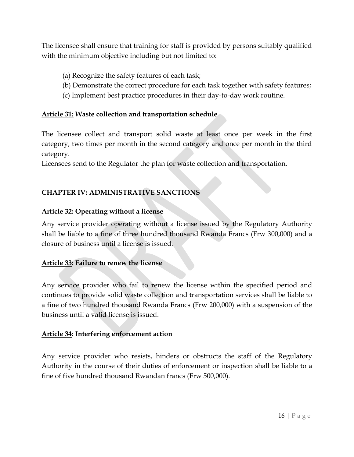The licensee shall ensure that training for staff is provided by persons suitably qualified with the minimum objective including but not limited to:

- (a) Recognize the safety features of each task;
- (b) Demonstrate the correct procedure for each task together with safety features;
- (c) Implement best practice procedures in their day-to-day work routine.

# <span id="page-15-0"></span>**Article 31: Waste collection and transportation schedule**

The licensee collect and transport solid waste at least once per week in the first category, two times per month in the second category and once per month in the third category.

Licensees send to the Regulator the plan for waste collection and transportation.

# <span id="page-15-1"></span>**CHAPTER IV: ADMINISTRATIVE SANCTIONS**

# <span id="page-15-2"></span>**Article 32: Operating without a license**

Any service provider operating without a license issued by the Regulatory Authority shall be liable to a fine of three hundred thousand Rwanda Francs (Frw 300,000) and a closure of business until a license is issued.

# <span id="page-15-3"></span>**Article 33: Failure to renew the license**

Any service provider who fail to renew the license within the specified period and continues to provide solid waste collection and transportation services shall be liable to a fine of two hundred thousand Rwanda Francs (Frw 200,000) with a suspension of the business until a valid license is issued.

# <span id="page-15-4"></span>**Article 34: Interfering enforcement action**

Any service provider who resists, hinders or obstructs the staff of the Regulatory Authority in the course of their duties of enforcement or inspection shall be liable to a fine of five hundred thousand Rwandan francs (Frw 500,000).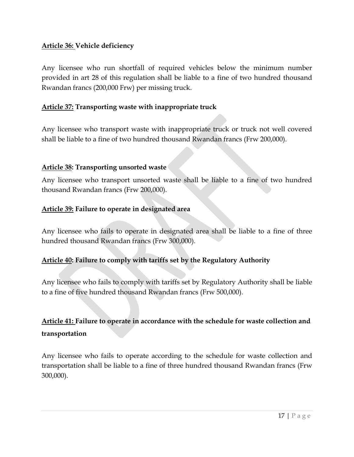# <span id="page-16-0"></span>**Article 36: Vehicle deficiency**

Any licensee who run shortfall of required vehicles below the minimum number provided in art 28 of this regulation shall be liable to a fine of two hundred thousand Rwandan francs (200,000 Frw) per missing truck.

#### <span id="page-16-1"></span>**Article 37: Transporting waste with inappropriate truck**

Any licensee who transport waste with inappropriate truck or truck not well covered shall be liable to a fine of two hundred thousand Rwandan francs (Frw 200,000).

#### <span id="page-16-2"></span>**Article 38: Transporting unsorted waste**

Any licensee who transport unsorted waste shall be liable to a fine of two hundred thousand Rwandan francs (Frw 200,000).

#### <span id="page-16-3"></span>**Article 39: Failure to operate in designated area**

Any licensee who fails to operate in designated area shall be liable to a fine of three hundred thousand Rwandan francs (Frw 300,000).

# <span id="page-16-4"></span>**Article 40: Failure to comply with tariffs set by the Regulatory Authority**

Any licensee who fails to comply with tariffs set by Regulatory Authority shall be liable to a fine of five hundred thousand Rwandan francs (Frw 500,000).

# <span id="page-16-5"></span>**Article 41: Failure to operate in accordance with the schedule for waste collection and transportation**

Any licensee who fails to operate according to the schedule for waste collection and transportation shall be liable to a fine of three hundred thousand Rwandan francs (Frw 300,000).